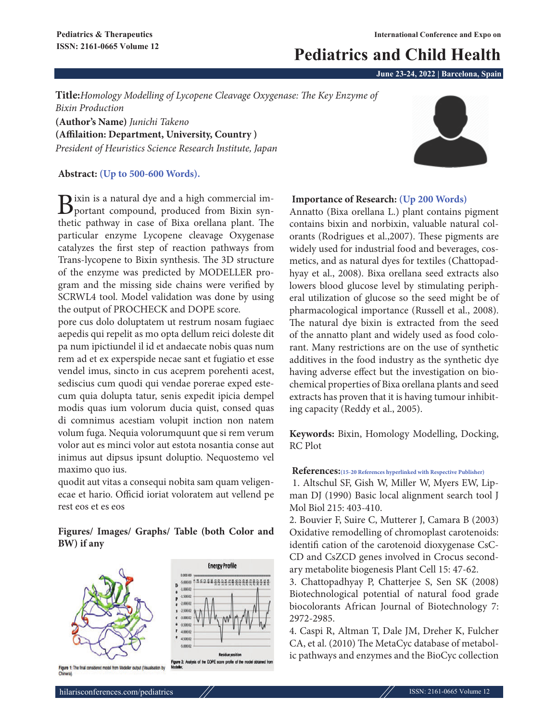# **Pediatrics and Child Health**

**June 23-24, 2022 | Barcelona, Spain**

**Title:***Homology Modelling of Lycopene Cleavage Oxygenase: The Key Enzyme of Bixin Production* **(Author's Name)** *Junichi Takeno*

**(Affilaition: Department, University, Country )** *President of Heuristics Science Research Institute, Japan*

## **Abstract: (Up to 500-600 Words).**

Bixin is a natural dye and a high commercial im-<br>portant compound, produced from Bixin synthetic pathway in case of Bixa orellana plant. The particular enzyme Lycopene cleavage Oxygenase catalyzes the first step of reaction pathways from Trans-lycopene to Bixin synthesis. The 3D structure of the enzyme was predicted by MODELLER program and the missing side chains were verified by SCRWL4 tool. Model validation was done by using the output of PROCHECK and DOPE score.

pore cus dolo doluptatem ut restrum nosam fugiaec aepedis qui repelit as mo opta dellum reici doleste dit pa num ipictiundel il id et andaecate nobis quas num rem ad et ex experspide necae sant et fugiatio et esse vendel imus, sincto in cus aceprem porehenti acest, sediscius cum quodi qui vendae porerae exped estecum quia dolupta tatur, senis expedit ipicia dempel modis quas ium volorum ducia quist, consed quas di comnimus acestiam volupit inction non natem volum fuga. Nequia volorumquunt que si rem verum volor aut es minci volor aut estota nosantia conse aut inimus aut dipsus ipsunt doluptio. Nequostemo vel maximo quo ius.

quodit aut vitas a consequi nobita sam quam veligenecae et hario. Officid ioriat voloratem aut vellend pe rest eos et es eos

# **Figures/ Images/ Graphs/ Table (both Color and BW) if any**



### **Importance of Research: (Up 200 Words)**

Annatto (Bixa orellana L.) plant contains pigment contains bixin and norbixin, valuable natural colorants (Rodrigues et al.,2007). These pigments are widely used for industrial food and beverages, cosmetics, and as natural dyes for textiles (Chattopadhyay et al., 2008). Bixa orellana seed extracts also lowers blood glucose level by stimulating peripheral utilization of glucose so the seed might be of pharmacological importance (Russell et al., 2008). The natural dye bixin is extracted from the seed of the annatto plant and widely used as food colorant. Many restrictions are on the use of synthetic additives in the food industry as the synthetic dye having adverse effect but the investigation on biochemical properties of Bixa orellana plants and seed extracts has proven that it is having tumour inhibiting capacity (Reddy et al., 2005).

**Keywords:** Bixin, Homology Modelling, Docking, RC Plot

#### **References:(15-20 References hyperlinked with Respective Publisher)**

1. Altschul SF, Gish W, Miller W, Myers EW, Lipman DJ (1990) Basic local alignment search tool J Mol Biol 215: 403-410.

2. Bouvier F, Suire C, Mutterer J, Camara B (2003) Oxidative remodelling of chromoplast carotenoids: identifi cation of the carotenoid dioxygenase CsC-CD and CsZCD genes involved in Crocus secondary metabolite biogenesis Plant Cell 15: 47-62.

3. Chattopadhyay P, Chatterjee S, Sen SK (2008) Biotechnological potential of natural food grade biocolorants African Journal of Biotechnology 7: 2972-2985.

4. Caspi R, Altman T, Dale JM, Dreher K, Fulcher CA, et al. (2010) The MetaCyc database of metabolic pathways and enzymes and the BioCyc collection